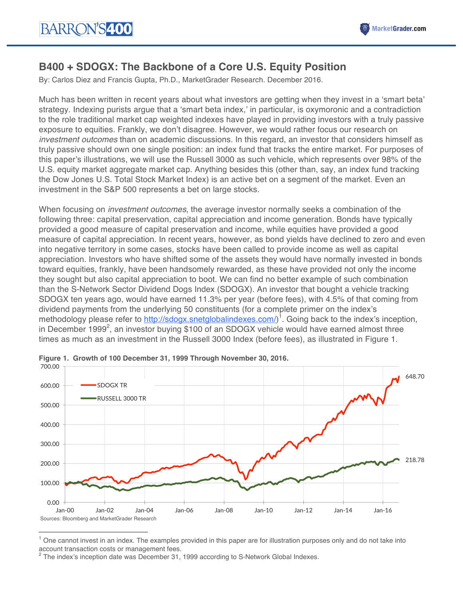

# **B400 + SDOGX: The Backbone of a Core U.S. Equity Position**

By: Carlos Diez and Francis Gupta, Ph.D., MarketGrader Research. December 2016.

Much has been written in recent years about what investors are getting when they invest in a 'smart beta' strategy. Indexing purists argue that a 'smart beta index,' in particular, is oxymoronic and a contradiction to the role traditional market cap weighted indexes have played in providing investors with a truly passive exposure to equities. Frankly, we don't disagree. However, we would rather focus our research on *investment outcomes* than on academic discussions. In this regard, an investor that considers himself as truly passive should own one single position: an index fund that tracks the entire market. For purposes of this paper's illustrations, we will use the Russell 3000 as such vehicle, which represents over 98% of the U.S. equity market aggregate market cap. Anything besides this (other than, say, an index fund tracking the Dow Jones U.S. Total Stock Market Index) is an active bet on a segment of the market. Even an investment in the S&P 500 represents a bet on large stocks.

When focusing on *investment outcomes*, the average investor normally seeks a combination of the following three: capital preservation, capital appreciation and income generation. Bonds have typically provided a good measure of capital preservation and income, while equities have provided a good measure of capital appreciation. In recent years, however, as bond yields have declined to zero and even into negative territory in some cases, stocks have been called to provide income as well as capital appreciation. Investors who have shifted some of the assets they would have normally invested in bonds toward equities, frankly, have been handsomely rewarded, as these have provided not only the income they sought but also capital appreciation to boot. We can find no better example of such combination than the S-Network Sector Dividend Dogs Index (SDOGX). An investor that bought a vehicle tracking SDOGX ten years ago, would have earned 11.3% per year (before fees), with 4.5% of that coming from dividend payments from the underlying 50 constituents (for a complete primer on the index's methodology please refer to http://sdogx.snetglobalindexes.com/)<sup>1</sup>. Going back to the index's inception, in December 1999<sup>2</sup>, an investor buying \$100 of an SDOGX vehicle would have earned almost three times as much as an investment in the Russell 3000 Index (before fees), as illustrated in Figure 1.



**Figure 1. Growth of 100 December 31, 1999 Through November 30, 2016.**

 

One cannot invest in an index. The examples provided in this paper are for illustration purposes only and do not take into account transaction costs or management fees.

<sup>2</sup> The index's inception date was December 31, 1999 according to S-Network Global Indexes.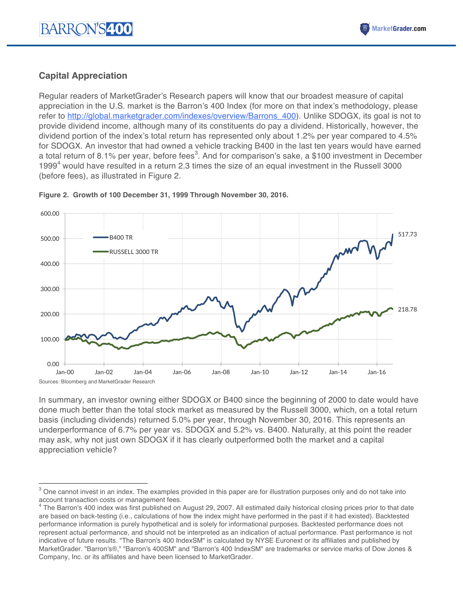# **Capital Appreciation**

 

Regular readers of MarketGrader's Research papers will know that our broadest measure of capital appreciation in the U.S. market is the Barron's 400 Index (for more on that index's methodology, please refer to http://global.marketgrader.com/indexes/overview/Barrons\_400). Unlike SDOGX, its goal is not to provide dividend income, although many of its constituents do pay a dividend. Historically, however, the dividend portion of the index's total return has represented only about 1.2% per year compared to 4.5% for SDOGX. An investor that had owned a vehicle tracking B400 in the last ten years would have earned a total return of 8.1% per year, before fees<sup>3</sup>. And for comparison's sake, a \$100 investment in December 1999<sup>4</sup> would have resulted in a return 2.3 times the size of an equal investment in the Russell 3000 (before fees), as illustrated in Figure 2.



### **Figure 2. Growth of 100 December 31, 1999 Through November 30, 2016.**

In summary, an investor owning either SDOGX or B400 since the beginning of 2000 to date would have done much better than the total stock market as measured by the Russell 3000, which, on a total return basis (including dividends) returned 5.0% per year, through November 30, 2016. This represents an underperformance of 6.7% per year vs. SDOGX and 5.2% vs. B400. Naturally, at this point the reader may ask, why not just own SDOGX if it has clearly outperformed both the market and a capital appreciation vehicle?

 $3$  One cannot invest in an index. The examples provided in this paper are for illustration purposes only and do not take into account transaction costs or management fees.

<sup>&</sup>lt;sup>4</sup> The Barron's 400 index was first published on August 29, 2007. All estimated daily historical closing prices prior to that date are based on back-testing (i.e., calculations of how the index might have performed in the past if it had existed). Backtested performance information is purely hypothetical and is solely for informational purposes. Backtested performance does not represent actual performance, and should not be interpreted as an indication of actual performance. Past performance is not indicative of future results. "The Barron's 400 IndexSM" is calculated by NYSE Euronext or its affiliates and published by MarketGrader. "Barron's®," "Barron's 400SM" and "Barron's 400 IndexSM" are trademarks or service marks of Dow Jones & Company, Inc. or its affiliates and have been licensed to MarketGrader.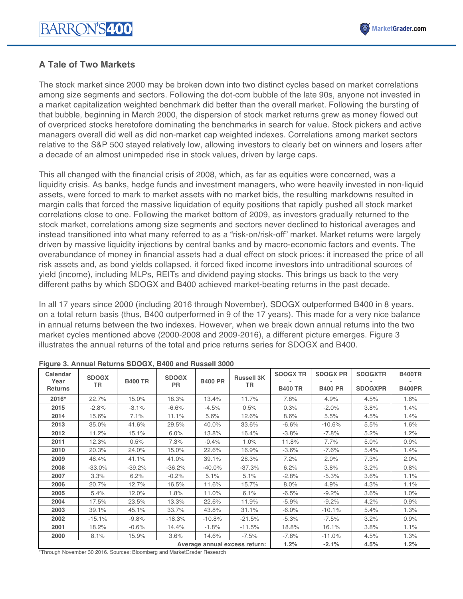

### **A Tale of Two Markets**

The stock market since 2000 may be broken down into two distinct cycles based on market correlations among size segments and sectors. Following the dot-com bubble of the late 90s, anyone not invested in a market capitalization weighted benchmark did better than the overall market. Following the bursting of that bubble, beginning in March 2000, the dispersion of stock market returns grew as money flowed out of overpriced stocks heretofore dominating the benchmarks in search for value. Stock pickers and active managers overall did well as did non-market cap weighted indexes. Correlations among market sectors relative to the S&P 500 stayed relatively low, allowing investors to clearly bet on winners and losers after a decade of an almost unimpeded rise in stock values, driven by large caps.

This all changed with the financial crisis of 2008, which, as far as equities were concerned, was a liquidity crisis. As banks, hedge funds and investment managers, who were heavily invested in non-liquid assets, were forced to mark to market assets with no market bids, the resulting markdowns resulted in margin calls that forced the massive liquidation of equity positions that rapidly pushed all stock market correlations close to one. Following the market bottom of 2009, as investors gradually returned to the stock market, correlations among size segments and sectors never declined to historical averages and instead transitioned into what many referred to as a "risk-on/risk-off" market. Market returns were largely driven by massive liquidity injections by central banks and by macro-economic factors and events. The overabundance of money in financial assets had a dual effect on stock prices: it increased the price of all risk assets and, as bond yields collapsed, it forced fixed income investors into untraditional sources of yield (income), including MLPs, REITs and dividend paying stocks. This brings us back to the very different paths by which SDOGX and B400 achieved market-beating returns in the past decade.

In all 17 years since 2000 (including 2016 through November), SDOGX outperformed B400 in 8 years, on a total return basis (thus, B400 outperformed in 9 of the 17 years). This made for a very nice balance in annual returns between the two indexes. However, when we break down annual returns into the two market cycles mentioned above (2000-2008 and 2009-2016), a different picture emerges. Figure 3 illustrates the annual returns of the total and price returns series for SDOGX and B400.

| Calendar<br>Year<br><b>Returns</b> | <b>SDOGX</b><br>TR | <b>B400 TR</b> | <b>SDOGX</b><br><b>PR</b> | <b>B400 PR</b> | <b>Russell 3K</b><br>TR | <b>SDOGX TR</b><br><b>B400 TR</b> | <b>SDOGX PR</b><br><b>B400 PR</b> | <b>SDOGXTR</b><br><b>SDOGXPR</b> | <b>B400TR</b><br><b>B400PR</b> |
|------------------------------------|--------------------|----------------|---------------------------|----------------|-------------------------|-----------------------------------|-----------------------------------|----------------------------------|--------------------------------|
| 2016*                              | 22.7%              | 15.0%          | 18.3%                     | 13.4%          | 11.7%                   | 7.8%                              | 4.9%                              | 4.5%                             | 1.6%                           |
| 2015                               | $-2.8%$            | $-3.1%$        | $-6.6%$                   | $-4.5%$        | 0.5%                    | 0.3%                              | $-2.0%$                           | 3.8%                             | 1.4%                           |
| 2014                               | 15.6%              | 7.1%           | 11.1%                     | 5.6%           | 12.6%                   | 8.6%                              | 5.5%                              | 4.5%                             | 1.4%                           |
| 2013                               | 35.0%              | 41.6%          | 29.5%                     | 40.0%          | 33.6%                   | $-6.6%$                           | $-10.6%$                          | 5.5%                             | 1.6%                           |
| 2012                               | 11.2%              | 15.1%          | 6.0%                      | 13.8%          | 16.4%                   | $-3.8%$                           | $-7.8%$                           | 5.2%                             | 1.2%                           |
| 2011                               | 12.3%              | 0.5%           | 7.3%                      | $-0.4%$        | 1.0%                    | 11.8%                             | 7.7%                              | 5.0%                             | 0.9%                           |
| 2010                               | 20.3%              | 24.0%          | 15.0%                     | 22.6%          | 16.9%                   | $-3.6%$                           | $-7.6%$                           | 5.4%                             | 1.4%                           |
| 2009                               | 48.4%              | 41.1%          | 41.0%                     | 39.1%          | 28.3%                   | 7.2%                              | 2.0%                              | 7.3%                             | 2.0%                           |
| 2008                               | $-33.0%$           | $-39.2%$       | $-36.2%$                  | $-40.0%$       | $-37.3%$                | 6.2%                              | 3.8%                              | 3.2%                             | 0.8%                           |
| 2007                               | 3.3%               | 6.2%           | $-0.2%$                   | 5.1%           | 5.1%                    | $-2.8%$                           | $-5.3%$                           | 3.6%                             | 1.1%                           |
| 2006                               | 20.7%              | 12.7%          | 16.5%                     | 11.6%          | 15.7%                   | 8.0%                              | 4.9%                              | 4.3%                             | 1.1%                           |
| 2005                               | 5.4%               | 12.0%          | 1.8%                      | 11.0%          | 6.1%                    | $-6.5%$                           | $-9.2%$                           | 3.6%                             | 1.0%                           |
| 2004                               | 17.5%              | 23.5%          | 13.3%                     | 22.6%          | 11.9%                   | $-5.9%$                           | $-9.2%$                           | 4.2%                             | 0.9%                           |
| 2003                               | 39.1%              | 45.1%          | 33.7%                     | 43.8%          | 31.1%                   | $-6.0%$                           | $-10.1%$                          | 5.4%                             | 1.3%                           |
| 2002                               | $-15.1%$           | $-9.8%$        | $-18.3%$                  | $-10.8%$       | $-21.5%$                | $-5.3%$                           | $-7.5%$                           | 3.2%                             | 0.9%                           |
| 2001                               | 18.2%              | $-0.6%$        | 14.4%                     | $-1.8%$        | $-11.5%$                | 18.8%                             | 16.1%                             | 3.8%                             | 1.1%                           |
| 2000                               | 8.1%               | 15.9%          | 3.6%                      | 14.6%          | $-7.5%$                 | $-7.8%$                           | $-11.0%$                          | 4.5%                             | 1.3%                           |
| Average annual excess return:      |                    |                |                           |                | 1.2%                    | $-2.1%$                           | 4.5%                              | 1.2%                             |                                |

**Figure 3. Annual Returns SDOGX, B400 and Russell 3000**

\*Through November 30 2016. Sources: Bloomberg and MarketGrader Research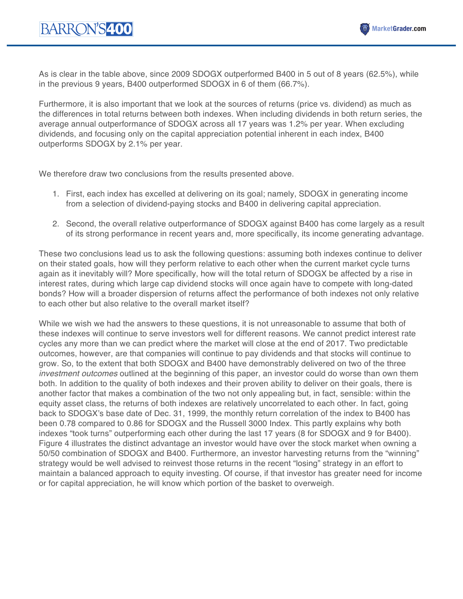As is clear in the table above, since 2009 SDOGX outperformed B400 in 5 out of 8 years (62.5%), while in the previous 9 years, B400 outperformed SDOGX in 6 of them (66.7%).

Furthermore, it is also important that we look at the sources of returns (price vs. dividend) as much as the differences in total returns between both indexes. When including dividends in both return series, the average annual outperformance of SDOGX across all 17 years was 1.2% per year. When excluding dividends, and focusing only on the capital appreciation potential inherent in each index, B400 outperforms SDOGX by 2.1% per year.

We therefore draw two conclusions from the results presented above.

- 1. First, each index has excelled at delivering on its goal; namely, SDOGX in generating income from a selection of dividend-paying stocks and B400 in delivering capital appreciation.
- 2. Second, the overall relative outperformance of SDOGX against B400 has come largely as a result of its strong performance in recent years and, more specifically, its income generating advantage.

These two conclusions lead us to ask the following questions: assuming both indexes continue to deliver on their stated goals, how will they perform relative to each other when the current market cycle turns again as it inevitably will? More specifically, how will the total return of SDOGX be affected by a rise in interest rates, during which large cap dividend stocks will once again have to compete with long-dated bonds? How will a broader dispersion of returns affect the performance of both indexes not only relative to each other but also relative to the overall market itself?

While we wish we had the answers to these questions, it is not unreasonable to assume that both of these indexes will continue to serve investors well for different reasons. We cannot predict interest rate cycles any more than we can predict where the market will close at the end of 2017. Two predictable outcomes, however, are that companies will continue to pay dividends and that stocks will continue to grow. So, to the extent that both SDOGX and B400 have demonstrably delivered on two of the three *investment outcomes* outlined at the beginning of this paper, an investor could do worse than own them both. In addition to the quality of both indexes and their proven ability to deliver on their goals, there is another factor that makes a combination of the two not only appealing but, in fact, sensible: within the equity asset class, the returns of both indexes are relatively uncorrelated to each other. In fact, going back to SDOGX's base date of Dec. 31, 1999, the monthly return correlation of the index to B400 has been 0.78 compared to 0.86 for SDOGX and the Russell 3000 Index. This partly explains why both indexes "took turns" outperforming each other during the last 17 years (8 for SDOGX and 9 for B400). Figure 4 illustrates the distinct advantage an investor would have over the stock market when owning a 50/50 combination of SDOGX and B400. Furthermore, an investor harvesting returns from the "winning" strategy would be well advised to reinvest those returns in the recent "losing" strategy in an effort to maintain a balanced approach to equity investing. Of course, if that investor has greater need for income or for capital appreciation, he will know which portion of the basket to overweigh.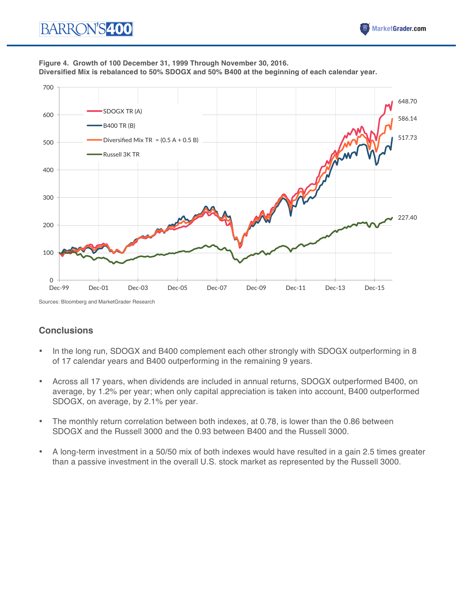#### **Figure 4. Growth of 100 December 31, 1999 Through November 30, 2016. Diversified Mix is rebalanced to 50% SDOGX and 50% B400 at the beginning of each calendar year.**



Sources: Bloomberg and MarketGrader Research

# **Conclusions**

- In the long run, SDOGX and B400 complement each other strongly with SDOGX outperforming in 8 of 17 calendar years and B400 outperforming in the remaining 9 years.
- Across all 17 years, when dividends are included in annual returns, SDOGX outperformed B400, on average, by 1.2% per year; when only capital appreciation is taken into account, B400 outperformed SDOGX, on average, by 2.1% per year.
- The monthly return correlation between both indexes, at 0.78, is lower than the 0.86 between SDOGX and the Russell 3000 and the 0.93 between B400 and the Russell 3000.
- A long-term investment in a 50/50 mix of both indexes would have resulted in a gain 2.5 times greater than a passive investment in the overall U.S. stock market as represented by the Russell 3000.